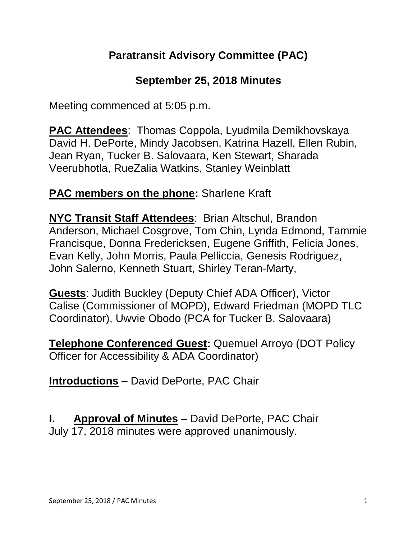## **Paratransit Advisory Committee (PAC)**

### **September 25, 2018 Minutes**

Meeting commenced at 5:05 p.m.

**PAC Attendees**: Thomas Coppola, Lyudmila Demikhovskaya David H. DePorte, Mindy Jacobsen, Katrina Hazell, Ellen Rubin, Jean Ryan, Tucker B. Salovaara, Ken Stewart, Sharada Veerubhotla, RueZalia Watkins, Stanley Weinblatt

## **PAC members on the phone:** Sharlene Kraft

**NYC Transit Staff Attendees**: Brian Altschul, Brandon Anderson, Michael Cosgrove, Tom Chin, Lynda Edmond, Tammie Francisque, Donna Fredericksen, Eugene Griffith, Felicia Jones, Evan Kelly, John Morris, Paula Pelliccia, Genesis Rodriguez, John Salerno, Kenneth Stuart, Shirley Teran-Marty,

**Guests**: Judith Buckley (Deputy Chief ADA Officer), Victor Calise (Commissioner of MOPD), Edward Friedman (MOPD TLC Coordinator), Uwvie Obodo (PCA for Tucker B. Salovaara)

**Telephone Conferenced Guest:** Quemuel Arroyo (DOT Policy Officer for Accessibility & ADA Coordinator)

**Introductions** – David DePorte, PAC Chair

**I. Approval of Minutes** – David DePorte, PAC Chair July 17, 2018 minutes were approved unanimously.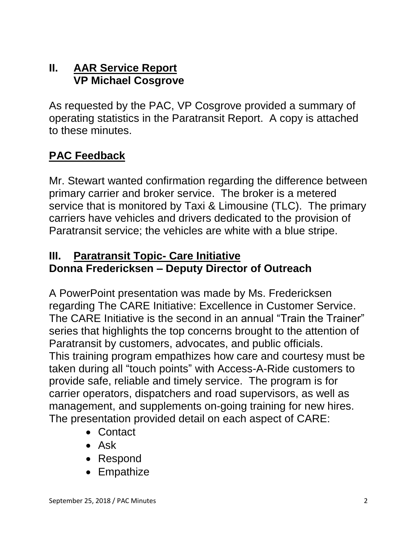#### **II. AAR Service Report VP Michael Cosgrove**

As requested by the PAC, VP Cosgrove provided a summary of operating statistics in the Paratransit Report. A copy is attached to these minutes.

# **PAC Feedback**

Mr. Stewart wanted confirmation regarding the difference between primary carrier and broker service. The broker is a metered service that is monitored by Taxi & Limousine (TLC). The primary carriers have vehicles and drivers dedicated to the provision of Paratransit service; the vehicles are white with a blue stripe.

#### **III. Paratransit Topic- Care Initiative Donna Fredericksen – Deputy Director of Outreach**

A PowerPoint presentation was made by Ms. Fredericksen regarding The CARE Initiative: Excellence in Customer Service. The CARE Initiative is the second in an annual "Train the Trainer" series that highlights the top concerns brought to the attention of Paratransit by customers, advocates, and public officials. This training program empathizes how care and courtesy must be taken during all "touch points" with Access-A-Ride customers to provide safe, reliable and timely service. The program is for carrier operators, dispatchers and road supervisors, as well as management, and supplements on-going training for new hires. The presentation provided detail on each aspect of CARE:

- Contact
- Ask
- Respond
- Empathize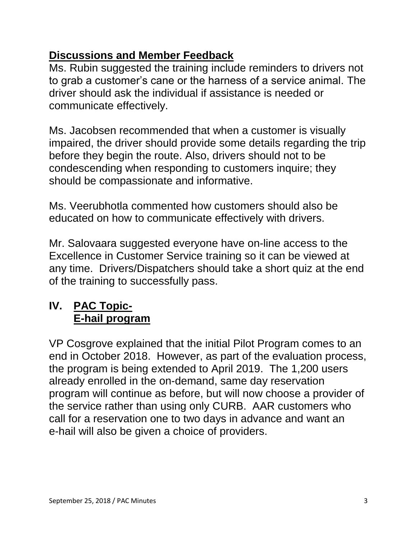## **Discussions and Member Feedback**

Ms. Rubin suggested the training include reminders to drivers not to grab a customer's cane or the harness of a service animal. The driver should ask the individual if assistance is needed or communicate effectively.

Ms. Jacobsen recommended that when a customer is visually impaired, the driver should provide some details regarding the trip before they begin the route. Also, drivers should not to be condescending when responding to customers inquire; they should be compassionate and informative.

Ms. Veerubhotla commented how customers should also be educated on how to communicate effectively with drivers.

Mr. Salovaara suggested everyone have on-line access to the Excellence in Customer Service training so it can be viewed at any time. Drivers/Dispatchers should take a short quiz at the end of the training to successfully pass.

# **IV. PAC Topic-E-hail program**

VP Cosgrove explained that the initial Pilot Program comes to an end in October 2018. However, as part of the evaluation process, the program is being extended to April 2019. The 1,200 users already enrolled in the on-demand, same day reservation program will continue as before, but will now choose a provider of the service rather than using only CURB. AAR customers who call for a reservation one to two days in advance and want an e-hail will also be given a choice of providers.